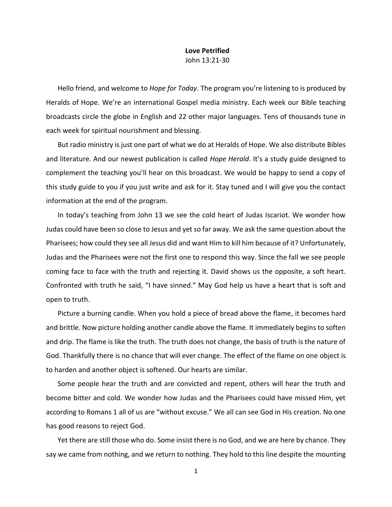## **Love Petrified** John 13:21-30

Hello friend, and welcome to *Hope for Today*. The program you're listening to is produced by Heralds of Hope. We're an international Gospel media ministry. Each week our Bible teaching broadcasts circle the globe in English and 22 other major languages. Tens of thousands tune in each week for spiritual nourishment and blessing.

But radio ministry is just one part of what we do at Heralds of Hope. We also distribute Bibles and literature. And our newest publication is called *Hope Herald*. It's a study guide designed to complement the teaching you'll hear on this broadcast. We would be happy to send a copy of this study guide to you if you just write and ask for it. Stay tuned and I will give you the contact information at the end of the program.

In today's teaching from John 13 we see the cold heart of Judas Iscariot. We wonder how Judas could have been so close to Jesus and yet so far away. We ask the same question about the Pharisees; how could they see all Jesus did and want Him to kill him because of it? Unfortunately, Judas and the Pharisees were not the first one to respond this way. Since the fall we see people coming face to face with the truth and rejecting it. David shows us the opposite, a soft heart. Confronted with truth he said, "I have sinned." May God help us have a heart that is soft and open to truth.

Picture a burning candle. When you hold a piece of bread above the flame, it becomes hard and brittle. Now picture holding another candle above the flame. It immediately begins to soften and drip. The flame is like the truth. The truth does not change, the basis of truth is the nature of God. Thankfully there is no chance that will ever change. The effect of the flame on one object is to harden and another object is softened. Our hearts are similar.

Some people hear the truth and are convicted and repent, others will hear the truth and become bitter and cold. We wonder how Judas and the Pharisees could have missed Him, yet according to Romans 1 all of us are "without excuse." We all can see God in His creation. No one has good reasons to reject God.

Yet there are still those who do. Some insist there is no God, and we are here by chance. They say we came from nothing, and we return to nothing. They hold to this line despite the mounting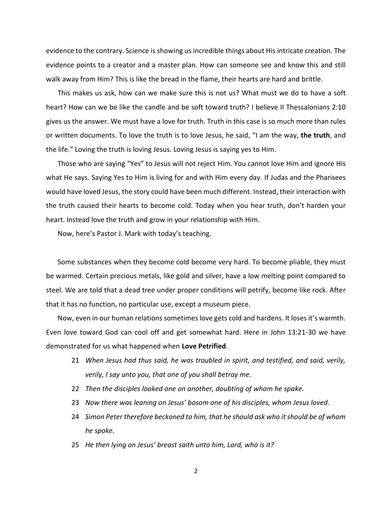evidence to the contrary. Science is showing us incredible things about His intricate creation. The evidence points to a creator and a master plan. How can someone see and know this and still walk away from Him? This is like the bread in the flame, their hearts are hard and brittle.

This makes us ask, how can we make sure this is not us? What must we do to have a soft heart? How can we be like the candle and be soft toward truth? I believe II Thessalonians 2:10 gives us the answer. We must have a love for truth. Truth in this case is so much more than rules or written documents. To love the truth is to love Jesus, he said, "I am the way, **the truth**, and the life." Loving the truth is loving Jesus. Loving Jesus is saying yes to Him.

Those who are saying "Yes" to Jesus will not reject Him. You cannot love Him and ignore His what He says. Saying Yes to Him is living for and with Him every day. If Judas and the Pharisees would have loved Jesus, the story could have been much different. Instead, their interaction with the truth caused their hearts to become cold. Today when you hear truth, don't harden your heart. Instead love the truth and grow in your relationship with Him.

Now, here's Pastor J. Mark with today's teaching.

Some substances when they become cold become very hard. To become pliable, they must be warmed. Certain precious metals, like gold and silver, have a low melting point compared to steel. We are told that a dead tree under proper conditions will petrify, become like rock. After that it has no function, no particular use, except a museum piece.

Now, even in our human relations sometimes love gets cold and hardens. It loses it's warmth. Even love toward God can cool off and get somewhat hard. Here in John 13:21-30 we have demonstrated for us what happened when **Love Petrified**.

- 21 *When Jesus had thus said, he was troubled in spirit, and testified, and said, verily, verily, I say unto you, that one of you shall betray me.*
- 22 *Then the disciples looked one on another, doubting of whom he spake.*
- 23 *Now there was leaning on Jesus' bosom one of his disciples, whom Jesus loved.*
- 24 *Simon Peter therefore beckoned to him, that he should ask who it should be of whom he spoke.*
- 25 *He then lying on Jesus' breast saith unto him, Lord, who is it?*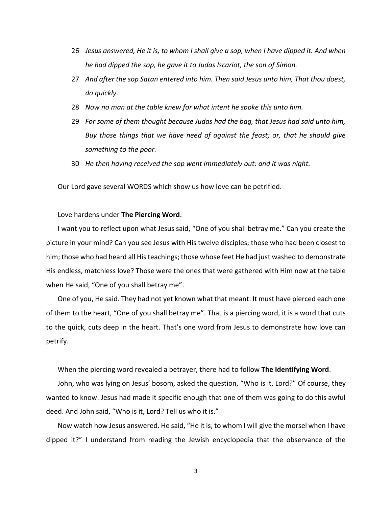- 26 *Jesus answered, He it is, to whom I shall give a sop, when I have dipped it. And when he had dipped the sop, he gave it to Judas Iscariot, the son of Simon.*
- 27 *And after the sop Satan entered into him. Then said Jesus unto him, That thou doest, do quickly.*
- 28 *Now no man at the table knew for what intent he spoke this unto him.*
- 29 *For some of them thought because Judas had the bag, that Jesus had said unto him, Buy those things that we have need of against the feast; or, that he should give something to the poor.*
- 30 *He then having received the sop went immediately out: and it was night.*

Our Lord gave several WORDS which show us how love can be petrified.

## Love hardens under **The Piercing Word**.

I want you to reflect upon what Jesus said, "One of you shall betray me." Can you create the picture in your mind? Can you see Jesus with His twelve disciples; those who had been closest to him; those who had heard all His teachings; those whose feet He had just washed to demonstrate His endless, matchless love? Those were the ones that were gathered with Him now at the table when He said, "One of you shall betray me".

One of you, He said. They had not yet known what that meant. It must have pierced each one of them to the heart, "One of you shall betray me". That is a piercing word, it is a word that cuts to the quick, cuts deep in the heart. That's one word from Jesus to demonstrate how love can petrify.

When the piercing word revealed a betrayer, there had to follow **The Identifying Word**.

John, who was lying on Jesus' bosom, asked the question, "Who is it, Lord?" Of course, they wanted to know. Jesus had made it specific enough that one of them was going to do this awful deed. And John said, "Who is it, Lord? Tell us who it is."

Now watch how Jesus answered. He said, "He it is, to whom I will give the morsel when I have dipped it?" I understand from reading the Jewish encyclopedia that the observance of the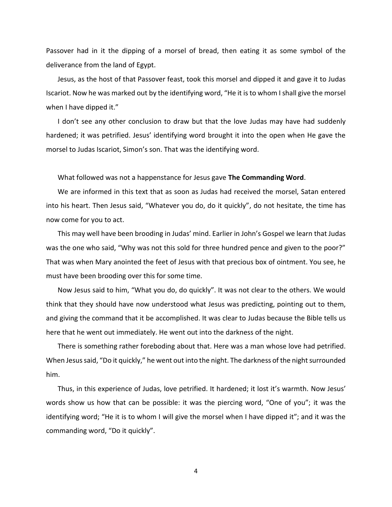Passover had in it the dipping of a morsel of bread, then eating it as some symbol of the deliverance from the land of Egypt.

Jesus, as the host of that Passover feast, took this morsel and dipped it and gave it to Judas Iscariot. Now he was marked out by the identifying word, "He it is to whom I shall give the morsel when I have dipped it."

I don't see any other conclusion to draw but that the love Judas may have had suddenly hardened; it was petrified. Jesus' identifying word brought it into the open when He gave the morsel to Judas Iscariot, Simon's son. That was the identifying word.

What followed was not a happenstance for Jesus gave **The Commanding Word**.

We are informed in this text that as soon as Judas had received the morsel, Satan entered into his heart. Then Jesus said, "Whatever you do, do it quickly", do not hesitate, the time has now come for you to act.

This may well have been brooding in Judas' mind. Earlier in John's Gospel we learn that Judas was the one who said, "Why was not this sold for three hundred pence and given to the poor?" That was when Mary anointed the feet of Jesus with that precious box of ointment. You see, he must have been brooding over this for some time.

Now Jesus said to him, "What you do, do quickly". It was not clear to the others. We would think that they should have now understood what Jesus was predicting, pointing out to them, and giving the command that it be accomplished. It was clear to Judas because the Bible tells us here that he went out immediately. He went out into the darkness of the night.

There is something rather foreboding about that. Here was a man whose love had petrified. When Jesus said, "Do it quickly," he went out into the night. The darkness of the night surrounded him.

Thus, in this experience of Judas, love petrified. It hardened; it lost it's warmth. Now Jesus' words show us how that can be possible: it was the piercing word, "One of you"; it was the identifying word; "He it is to whom I will give the morsel when I have dipped it"; and it was the commanding word, "Do it quickly".